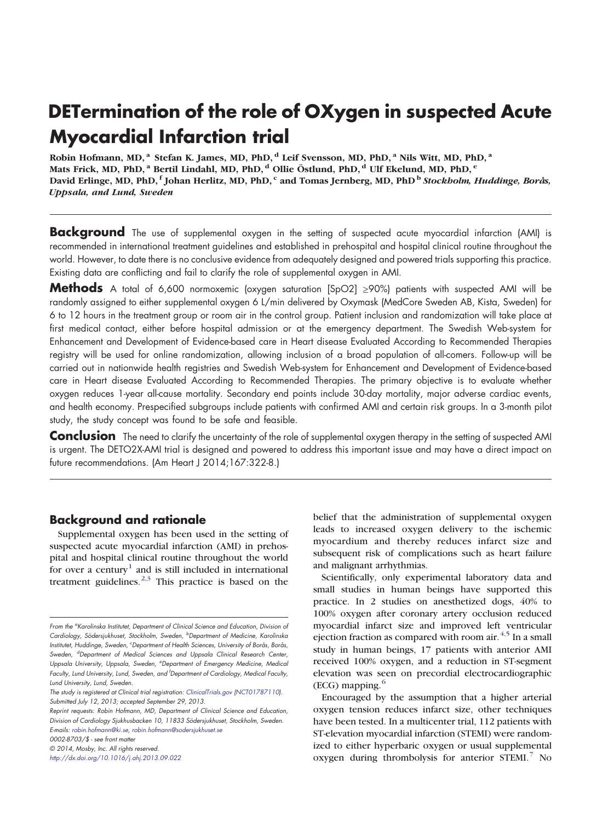# DETermination of the role of OXygen in suspected Acute Myocardial Infarction trial

Robin Hofmann, MD,<sup>a</sup> Stefan K. James, MD, PhD,<sup>d</sup> Leif Svensson, MD, PhD,<sup>a</sup> Nils Witt, MD, PhD,<sup>a</sup> Mats Frick, MD, PhD, <sup>a</sup> Bertil Lindahl, MD, PhD, <sup>d</sup> Ollie Östlund, PhD, <sup>d</sup> Ulf Ekelund, MD, PhD, <sup>e</sup> David Erlinge, MD, PhD, f Johan Herlitz, MD, PhD, c and Tomas Jernberg, MD, PhD<sup>b</sup> Stockholm, Huddinge, Borås, Uppsala, and Lund, Sweden

**Background** The use of supplemental oxygen in the setting of suspected acute myocardial infarction (AMI) is recommended in international treatment guidelines and established in prehospital and hospital clinical routine throughout the world. However, to date there is no conclusive evidence from adequately designed and powered trials supporting this practice. Existing data are conflicting and fail to clarify the role of supplemental oxygen in AMI.

Methods A total of 6,600 normoxemic (oxygen saturation [SpO2] ≥90%) patients with suspected AMI will be randomly assigned to either supplemental oxygen 6 L/min delivered by Oxymask (MedCore Sweden AB, Kista, Sweden) for 6 to 12 hours in the treatment group or room air in the control group. Patient inclusion and randomization will take place at first medical contact, either before hospital admission or at the emergency department. The Swedish Web-system for Enhancement and Development of Evidence-based care in Heart disease Evaluated According to Recommended Therapies registry will be used for online randomization, allowing inclusion of a broad population of all-comers. Follow-up will be carried out in nationwide health registries and Swedish Web-system for Enhancement and Development of Evidence-based care in Heart disease Evaluated According to Recommended Therapies. The primary objective is to evaluate whether oxygen reduces 1-year all-cause mortality. Secondary end points include 30-day mortality, major adverse cardiac events, and health economy. Prespecified subgroups include patients with confirmed AMI and certain risk groups. In a 3-month pilot study, the study concept was found to be safe and feasible.

Conclusion The need to clarify the uncertainty of the role of supplemental oxygen therapy in the setting of suspected AMI is urgent. The DETO2X-AMI trial is designed and powered to address this important issue and may have a direct impact on future recommendations. (Am Heart J 2014;167:322-8.)

# Background and rationale

Supplemental oxygen has been used in the setting of suspected acute myocardial infarction (AMI) in prehospital and hospital clinical routine throughout the world for over a centur[y](#page-5-0)<sup>[1](#page-5-0)</sup> and is still included in international treatment guidelines[.](#page-5-0) $2,3$  This practice is based on the

Reprint requests: Robin Hofmann, MD, Department of Clinical Science and Education, Division of Cardiology Sjukhusbacken 10, 11833 Södersjukhuset, Stockholm, Sweden. E-mails: [robin.hofmann@ki.se](mailto:robin.hofmann@ki.se), [robin.hofmann@sodersjukhuset.se](mailto:robin.hofmann@sodersjukhuset.se)

0002-8703/\$ - see front matter

belief that the administration of supplemental oxygen leads to increased oxygen delivery to the ischemic myocardium and thereby reduces infarct size and subsequent risk of complications such as heart failure and malignant arrhythmias.

Scientifically, only experimental laboratory data and small studies in human beings have supported this practice. In 2 studies on anesthetized dogs, 40% to 100% oxygen after coronary artery occlusion reduced myocardial infarct size and improved left ventricular ejection fraction as compared with room air[.](#page-5-0) $4,5$  In a small study in human beings, 17 patients with anterior AMI received 100% oxygen, and a reduction in ST-segment elevation was seen on precordial electrocardiographic  $(ECG)$  mapping[.](#page-5-0) $<sup>6</sup>$  $<sup>6</sup>$  $<sup>6</sup>$ </sup>

Encouraged by the assumption that a higher arterial oxygen tension reduces infarct size, other techniques have been tested. In a multicenter trial, 112 patients with ST-elevation myocardial infarction (STEMI) were randomized to either hyperbaric oxygen or usual supplemental oxygen during thrombolysis for anterior  $STEMI$ [.](#page-5-0)<sup>[7](#page-5-0)</sup> No

From the <sup>a</sup>Karolinska Institutet, Department of Clinical Science and Education, Division of Cardiology, Södersjukhuset, Stockholm, Sweden, <sup>b</sup>Department of Medicine, Karolinska Institutet, Huddinge, Sweden, <sup>c</sup>Department of Health Sciences, University of Borås, Borås, Sweden, <sup>d</sup>Department of Medical Sciences and Uppsala Clinical Research Center, Uppsala University, Uppsala, Sweden, <sup>e</sup>Department of Emergency Medicine, Medical Faculty, Lund University, Lund, Sweden, and <sup>f</sup>Department of Cardiology, Medical Faculty, Lund University, Lund, Sweden.

The study is registered at Clinical trial registration: [ClinicalTrials.gov](mailto:robin.hofmann@ki.se) ([NCT01787110\)](mailto:robin.hofmann@sodersjukhuset.se). Submitted July 12, 2013; accepted September 29, 2013.

<sup>© 2014,</sup> Mosby, Inc. All rights reserved.

<http://dx.doi.org/10.1016/j.ahj.2013.09.022>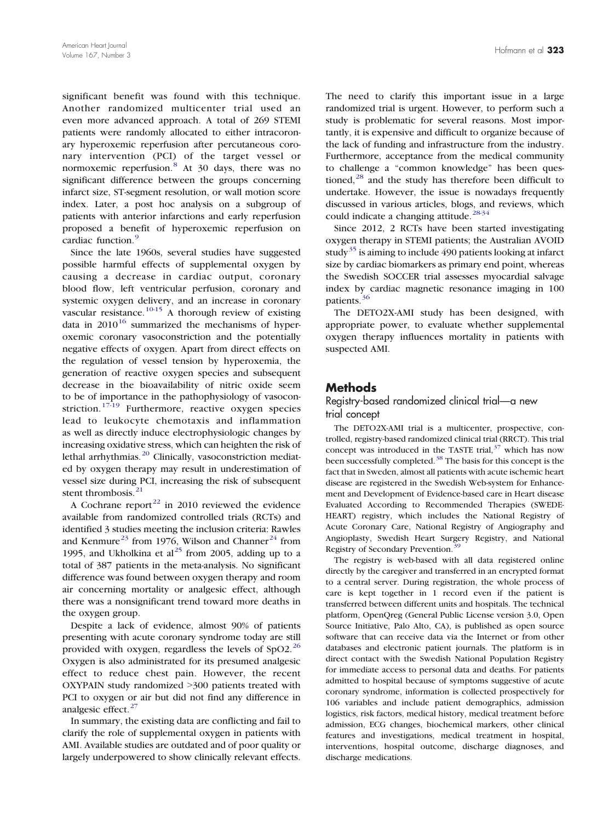significant benefit was found with this technique. Another randomized multicenter trial used an even more advanced approach. A total of 269 STEMI patients were randomly allocated to either intracoronary hyperoxemic reperfusion after percutaneous coronary intervention (PCI) of the target vessel or normoxemic reperfusion[.](#page-5-0)[8](#page-5-0) At 30 days, there was no significant difference between the groups concerning infarct size, ST-segment resolution, or wall motion score index. Later, a post hoc analysis on a subgroup of patients with anterior infarctions and early reperfusion proposed a benefit of hyperoxemic reperfusion on cardiac function[.](#page-6-0)<sup>[9](#page-6-0)</sup>

Since the late 1960s, several studies have suggested possible harmful effects of supplemental oxygen by causing a decrease in cardiac output, coronary blood flow, left ventricular perfusion, coronary and systemic oxygen delivery, and an increase in coronary vascular resistance[.](#page-6-0)<sup>[10-15](#page-6-0)</sup> A thorough review of existing data in  $2010^{16}$  $2010^{16}$  $2010^{16}$  $2010^{16}$  $2010^{16}$  summarized the mechanisms of hyperoxemic coronary vasoconstriction and the potentially negative effects of oxygen. Apart from direct effects on the regulation of vessel tension by hyperoxemia, the generation of reactive oxygen species and subsequent decrease in the bioavailability of nitric oxide seem to be of importance in the pathophysiology of vasocon-striction[.](#page-6-0)<sup>[17-19](#page-6-0)</sup> Furthermore, reactive oxygen species lead to leukocyte chemotaxis and inflammation as well as directly induce electrophysiologic changes by increasing oxidative stress, which can heighten the risk of lethal arrhythmias[.](#page-6-0)<sup>[20](#page-6-0)</sup> Clinically, vasoconstriction mediated by oxygen therapy may result in underestimation of vessel size during PCI, increasing the risk of subsequent stent thrombosis[.](#page-6-0)<sup>[21](#page-6-0)</sup>

A Cochrane repor[t](#page-6-0) $^{22}$  $^{22}$  $^{22}$  in 2010 reviewed the evidence available from randomized controlled trials (RCTs) and identified 3 studies meeting the inclusion criteria: Rawles and K[e](#page-6-0)nmure<sup>[23](#page-6-0)</sup> f[r](#page-6-0)om 1976, Wilson and Channer<sup>[24](#page-6-0)</sup> from 1995, and Ukho[l](#page-6-0)kina et  $al^{25}$  $al^{25}$  $al^{25}$  from 2005, adding up to a total of 387 patients in the meta-analysis. No significant difference was found between oxygen therapy and room air concerning mortality or analgesic effect, although there was a nonsignificant trend toward more deaths in the oxygen group.

Despite a lack of evidence, almost 90% of patients presenting with acute coronary syndrome today are still provided with oxygen, regardless the levels of SpO2[.](#page-6-0)[26](#page-6-0) Oxygen is also administrated for its presumed analgesic effect to reduce chest pain. However, the recent OXYPAIN study randomized  $>300$  patients treated with PCI to oxygen or air but did not find any difference in analgesic effect[.](#page-6-0) $27$ 

In summary, the existing data are conflicting and fail to clarify the role of supplemental oxygen in patients with AMI. Available studies are outdated and of poor quality or largely underpowered to show clinically relevant effects.

The need to clarify this important issue in a large randomized trial is urgent. However, to perform such a study is problematic for several reasons. Most importantly, it is expensive and difficult to organize because of the lack of funding and infrastructure from the industry. Furthermore, acceptance from the medical community to challenge a "common knowledge" has been ques-tioned[,](#page-6-0)<sup>[28](#page-6-0)</sup> and the study has therefore been difficult to undertake. However, the issue is nowadays frequently discussed in various articles, blogs, and reviews, which could indicate a changing attitude[.](#page-6-0)<sup>[28-34](#page-6-0)</sup>

Since 2012, 2 RCTs have been started investigating oxygen therapy in STEMI patients; the Australian AVOID stud[y](#page-6-0)<sup>[35](#page-6-0)</sup> is aiming to include 490 patients looking at infarct size by cardiac biomarkers as primary end point, whereas the Swedish SOCCER trial assesses myocardial salvage index by cardiac magnetic resonance imaging in 100 patients[.](#page-6-0)<sup>[36](#page-6-0)</sup>

The DETO2X-AMI study has been designed, with appropriate power, to evaluate whether supplemental oxygen therapy influences mortality in patients with suspected AMI.

# Methods

## Registry-based randomized clinical trial—a new trial concept

The DETO2X-AMI trial is a multicenter, prospective, controlled, registry-based randomized clinical trial (RRCT). This trial concept was introduced in the TASTE trial[,](#page-6-0) $37$  which has now been successfully completed[.](#page-6-0)<sup>[38](#page-6-0)</sup> The basis for this concept is the fact that in Sweden, almost all patients with acute ischemic heart disease are registered in the Swedish Web-system for Enhancement and Development of Evidence-based care in Heart disease Evaluated According to Recommended Therapies (SWEDE-HEART) registry, which includes the National Registry of Acute Coronary Care, National Registry of Angiography and Angioplasty, Swedish Heart Surgery Registry, and National Registry of Secondary Prevention[.](#page-6-0)<sup>[39](#page-6-0)</sup>

The registry is web-based with all data registered online directly by the caregiver and transferred in an encrypted format to a central server. During registration, the whole process of care is kept together in 1 record even if the patient is transferred between different units and hospitals. The technical platform, OpenQreg (General Public License version 3.0, Open Source Initiative, Palo Alto, CA), is published as open source software that can receive data via the Internet or from other databases and electronic patient journals. The platform is in direct contact with the Swedish National Population Registry for immediate access to personal data and deaths. For patients admitted to hospital because of symptoms suggestive of acute coronary syndrome, information is collected prospectively for 106 variables and include patient demographics, admission logistics, risk factors, medical history, medical treatment before admission, ECG changes, biochemical markers, other clinical features and investigations, medical treatment in hospital, interventions, hospital outcome, discharge diagnoses, and discharge medications.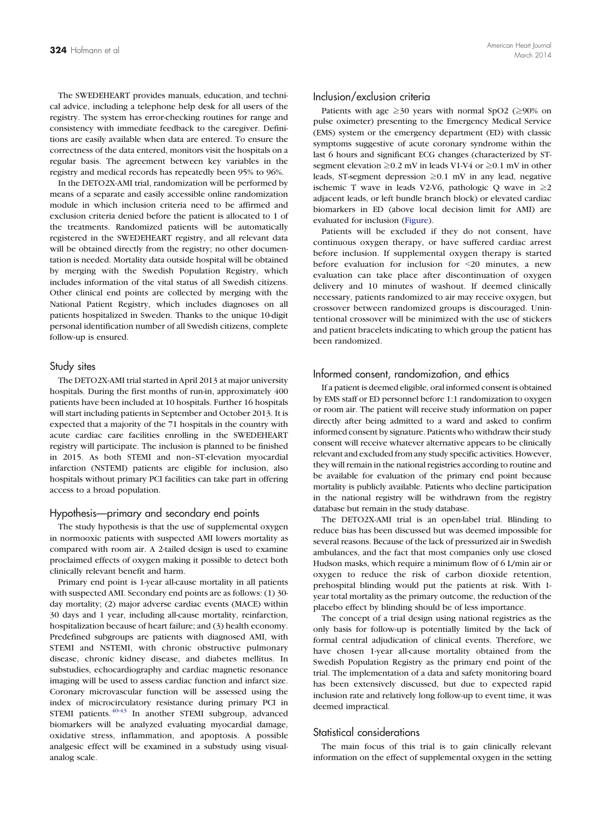The SWEDEHEART provides manuals, education, and technical advice, including a telephone help desk for all users of the registry. The system has error-checking routines for range and consistency with immediate feedback to the caregiver. Definitions are easily available when data are entered. To ensure the correctness of the data entered, monitors visit the hospitals on a regular basis. The agreement between key variables in the registry and medical records has repeatedly been 95% to 96%.

In the DETO2X-AMI trial, randomization will be performed by means of a separate and easily accessible online randomization module in which inclusion criteria need to be affirmed and exclusion criteria denied before the patient is allocated to 1 of the treatments. Randomized patients will be automatically registered in the SWEDEHEART registry, and all relevant data will be obtained directly from the registry; no other documentation is needed. Mortality data outside hospital will be obtained by merging with the Swedish Population Registry, which includes information of the vital status of all Swedish citizens. Other clinical end points are collected by merging with the National Patient Registry, which includes diagnoses on all patients hospitalized in Sweden. Thanks to the unique 10-digit personal identification number of all Swedish citizens, complete follow-up is ensured.

#### Study sites

The DETO2X-AMI trial started in April 2013 at major university hospitals. During the first months of run-in, approximately 400 patients have been included at 10 hospitals. Further 16 hospitals will start including patients in September and October 2013. It is expected that a majority of the 71 hospitals in the country with acute cardiac care facilities enrolling in the SWEDEHEART registry will participate. The inclusion is planned to be finished in 2015. As both STEMI and non–ST-elevation myocardial infarction (NSTEMI) patients are eligible for inclusion, also hospitals without primary PCI facilities can take part in offering access to a broad population.

#### Hypothesis—primary and secondary end points

The study hypothesis is that the use of supplemental oxygen in normooxic patients with suspected AMI lowers mortality as compared with room air. A 2-tailed design is used to examine proclaimed effects of oxygen making it possible to detect both clinically relevant benefit and harm.

Primary end point is 1-year all-cause mortality in all patients with suspected AMI. Secondary end points are as follows: (1) 30 day mortality; (2) major adverse cardiac events (MACE) within 30 days and 1 year, including all-cause mortality, reinfarction, hospitalization because of heart failure; and (3) health economy. Predefined subgroups are patients with diagnosed AMI, with STEMI and NSTEMI, with chronic obstructive pulmonary disease, chronic kidney disease, and diabetes mellitus. In substudies, echocardiography and cardiac magnetic resonance imaging will be used to assess cardiac function and infarct size. Coronary microvascular function will be assessed using the index of microcirculatory resistance during primary PCI in STEMI patients[.](#page-6-0)  $40-43$  In another STEMI subgroup, advanced biomarkers will be analyzed evaluating myocardial damage, oxidative stress, inflammation, and apoptosis. A possible analgesic effect will be examined in a substudy using visualanalog scale.

#### Inclusion/exclusion criteria

Patients with age  $\geq 30$  years with normal SpO2 ( $\geq 90\%$  on pulse oximeter) presenting to the Emergency Medical Service (EMS) system or the emergency department (ED) with classic symptoms suggestive of acute coronary syndrome within the last 6 hours and significant ECG changes (characterized by STsegment elevation ≥0.2 mV in leads V1-V4 or ≥0.1 mV in other leads, ST-segment depression ≥0.1 mV in any lead, negative ischemic T wave in leads V2-V6, pathologic Q wave in  $\geq 2$ adjacent leads, or left bundle branch block) or elevated cardiac biomarkers in ED (above local decision limit for AMI) are evaluated for inclusion ([Figure](#page-3-0)).

Patients will be excluded if they do not consent, have continuous oxygen therapy, or have suffered cardiac arrest before inclusion. If supplemental oxygen therapy is started before evaluation for inclusion for <20 minutes, a new evaluation can take place after discontinuation of oxygen delivery and 10 minutes of washout. If deemed clinically necessary, patients randomized to air may receive oxygen, but crossover between randomized groups is discouraged. Unintentional crossover will be minimized with the use of stickers and patient bracelets indicating to which group the patient has been randomized.

#### Informed consent, randomization, and ethics

If a patient is deemed eligible, oral informed consent is obtained by EMS staff or ED personnel before 1:1 randomization to oxygen or room air. The patient will receive study information on paper directly after being admitted to a ward and asked to confirm informed consent by signature. Patients who withdraw their study consent will receive whatever alternative appears to be clinically relevant and excluded from any study specific activities. However, they will remain in the national registries according to routine and be available for evaluation of the primary end point because mortality is publicly available. Patients who decline participation in the national registry will be withdrawn from the registry database but remain in the study database.

The DETO2X-AMI trial is an open-label trial. Blinding to reduce bias has been discussed but was deemed impossible for several reasons. Because of the lack of pressurized air in Swedish ambulances, and the fact that most companies only use closed Hudson masks, which require a minimum flow of 6 L/min air or oxygen to reduce the risk of carbon dioxide retention, prehospital blinding would put the patients at risk. With 1 year total mortality as the primary outcome, the reduction of the placebo effect by blinding should be of less importance.

The concept of a trial design using national registries as the only basis for follow-up is potentially limited by the lack of formal central adjudication of clinical events. Therefore, we have chosen 1-year all-cause mortality obtained from the Swedish Population Registry as the primary end point of the trial. The implementation of a data and safety monitoring board has been extensively discussed, but due to expected rapid inclusion rate and relatively long follow-up to event time, it was deemed impractical.

## Statistical considerations

The main focus of this trial is to gain clinically relevant information on the effect of supplemental oxygen in the setting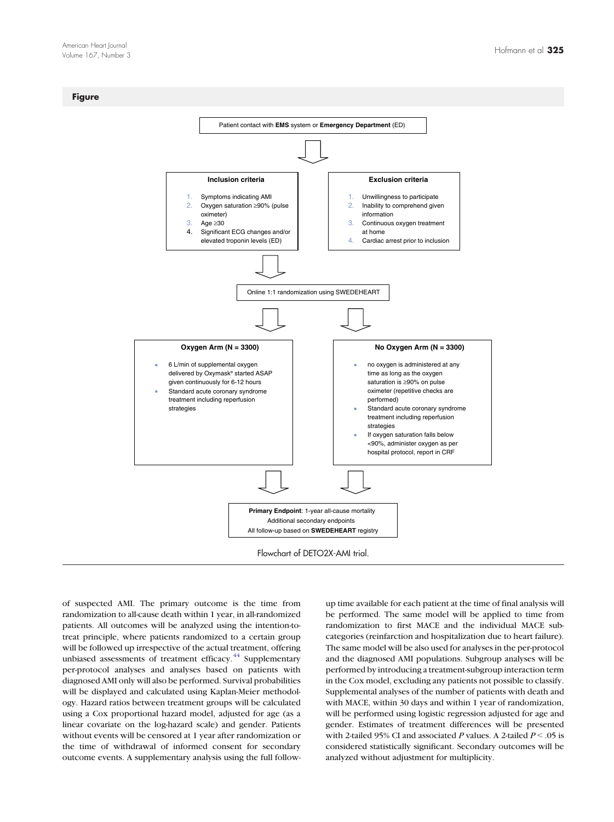#### <span id="page-3-0"></span>**Figure**



of suspected AMI. The primary outcome is the time from randomization to all-cause death within 1 year, in all-randomized patients. All outcomes will be analyzed using the intention-totreat principle, where patients randomized to a certain group will be followed up irrespective of the actual treatment, offering unbiased assessments of treatment efficacy[.](#page-6-0)<sup>[44](#page-6-0)</sup> Supplementary per-protocol analyses and analyses based on patients with diagnosed AMI only will also be performed. Survival probabilities will be displayed and calculated using Kaplan-Meier methodology. Hazard ratios between treatment groups will be calculated using a Cox proportional hazard model, adjusted for age (as a linear covariate on the log-hazard scale) and gender. Patients without events will be censored at 1 year after randomization or the time of withdrawal of informed consent for secondary outcome events. A supplementary analysis using the full followup time available for each patient at the time of final analysis will be performed. The same model will be applied to time from randomization to first MACE and the individual MACE subcategories (reinfarction and hospitalization due to heart failure). The same model will be also used for analyses in the per-protocol and the diagnosed AMI populations. Subgroup analyses will be performed by introducing a treatment-subgroup interaction term in the Cox model, excluding any patients not possible to classify. Supplemental analyses of the number of patients with death and with MACE, within 30 days and within 1 year of randomization, will be performed using logistic regression adjusted for age and gender. Estimates of treatment differences will be presented with 2-tailed 95% CI and associated P values. A 2-tailed  $P < 0.05$  is considered statistically significant. Secondary outcomes will be analyzed without adjustment for multiplicity.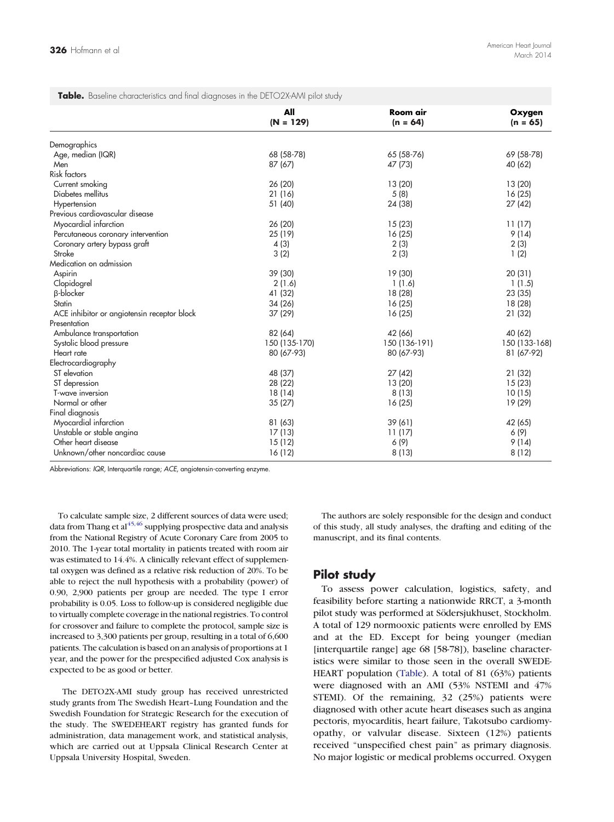| $(N = 129)$<br>$(n = 64)$<br>Demographics<br>Age, median (IQR)<br>68 (58-78)<br>65 (58-76)<br>47 (73)<br>Men<br>87 (67)<br><b>Risk factors</b><br>26 (20)<br>Current smoking<br>13 (20)<br>Diabetes mellitus<br>21 (16)<br>5(8)<br>51 (40)<br>24 (38)<br>Hypertension<br>Previous cardiovascular disease<br>Myocardial infarction<br>26 (20)<br>15(23)<br>25 (19)<br>16(25)<br>Percutaneous coronary intervention<br>2(3)<br>Coronary artery bypass graft<br>4(3)<br>Stroke<br>3(2)<br>2(3)<br>Medication on admission<br>39 (30)<br>19 (30)<br>Aspirin<br>2(1.6)<br>Clopidogrel<br>1(1.6)<br><b>B-blocker</b><br>41 (32)<br>18 (28)<br>Statin<br>34 (26)<br>16(25)<br>ACE inhibitor or angiotensin receptor block<br>37 (29)<br>16(25)<br>Presentation<br>Ambulance transportation<br>82 (64)<br>42 (66)<br>Systolic blood pressure<br>150 (135-170)<br>150 (136-191)<br>Heart rate<br>80 (67-93)<br>80 (67-93)<br>Electrocardiography<br>48 (37)<br>27(42)<br>ST elevation<br>ST depression<br>28 (22)<br>13 (20)<br>T-wave inversion<br>18 (14)<br>8(13)<br>Normal or other<br>35(27)<br>16(25)<br>Final diagnosis<br>Myocardial infarction<br>81 (63)<br>39 (61) |                           | All    | Room air | Oxygen<br>$(n = 65)$ |
|----------------------------------------------------------------------------------------------------------------------------------------------------------------------------------------------------------------------------------------------------------------------------------------------------------------------------------------------------------------------------------------------------------------------------------------------------------------------------------------------------------------------------------------------------------------------------------------------------------------------------------------------------------------------------------------------------------------------------------------------------------------------------------------------------------------------------------------------------------------------------------------------------------------------------------------------------------------------------------------------------------------------------------------------------------------------------------------------------------------------------------------------------------------------|---------------------------|--------|----------|----------------------|
|                                                                                                                                                                                                                                                                                                                                                                                                                                                                                                                                                                                                                                                                                                                                                                                                                                                                                                                                                                                                                                                                                                                                                                      |                           |        |          |                      |
|                                                                                                                                                                                                                                                                                                                                                                                                                                                                                                                                                                                                                                                                                                                                                                                                                                                                                                                                                                                                                                                                                                                                                                      |                           |        |          |                      |
|                                                                                                                                                                                                                                                                                                                                                                                                                                                                                                                                                                                                                                                                                                                                                                                                                                                                                                                                                                                                                                                                                                                                                                      |                           |        |          | 69 (58-78)           |
|                                                                                                                                                                                                                                                                                                                                                                                                                                                                                                                                                                                                                                                                                                                                                                                                                                                                                                                                                                                                                                                                                                                                                                      |                           |        |          | 40 (62)              |
|                                                                                                                                                                                                                                                                                                                                                                                                                                                                                                                                                                                                                                                                                                                                                                                                                                                                                                                                                                                                                                                                                                                                                                      |                           |        |          |                      |
|                                                                                                                                                                                                                                                                                                                                                                                                                                                                                                                                                                                                                                                                                                                                                                                                                                                                                                                                                                                                                                                                                                                                                                      |                           |        |          | 13(20)               |
|                                                                                                                                                                                                                                                                                                                                                                                                                                                                                                                                                                                                                                                                                                                                                                                                                                                                                                                                                                                                                                                                                                                                                                      |                           |        |          | 16(25)               |
|                                                                                                                                                                                                                                                                                                                                                                                                                                                                                                                                                                                                                                                                                                                                                                                                                                                                                                                                                                                                                                                                                                                                                                      |                           |        |          | 27(42)               |
|                                                                                                                                                                                                                                                                                                                                                                                                                                                                                                                                                                                                                                                                                                                                                                                                                                                                                                                                                                                                                                                                                                                                                                      |                           |        |          |                      |
|                                                                                                                                                                                                                                                                                                                                                                                                                                                                                                                                                                                                                                                                                                                                                                                                                                                                                                                                                                                                                                                                                                                                                                      |                           |        |          | 11(17)               |
|                                                                                                                                                                                                                                                                                                                                                                                                                                                                                                                                                                                                                                                                                                                                                                                                                                                                                                                                                                                                                                                                                                                                                                      |                           |        |          | 9(14)                |
|                                                                                                                                                                                                                                                                                                                                                                                                                                                                                                                                                                                                                                                                                                                                                                                                                                                                                                                                                                                                                                                                                                                                                                      |                           |        |          | 2(3)                 |
|                                                                                                                                                                                                                                                                                                                                                                                                                                                                                                                                                                                                                                                                                                                                                                                                                                                                                                                                                                                                                                                                                                                                                                      |                           |        |          | 1(2)                 |
|                                                                                                                                                                                                                                                                                                                                                                                                                                                                                                                                                                                                                                                                                                                                                                                                                                                                                                                                                                                                                                                                                                                                                                      |                           |        |          |                      |
|                                                                                                                                                                                                                                                                                                                                                                                                                                                                                                                                                                                                                                                                                                                                                                                                                                                                                                                                                                                                                                                                                                                                                                      |                           |        |          | 20 (31)              |
|                                                                                                                                                                                                                                                                                                                                                                                                                                                                                                                                                                                                                                                                                                                                                                                                                                                                                                                                                                                                                                                                                                                                                                      |                           |        |          | 1(1.5)               |
|                                                                                                                                                                                                                                                                                                                                                                                                                                                                                                                                                                                                                                                                                                                                                                                                                                                                                                                                                                                                                                                                                                                                                                      |                           |        |          | 23(35)               |
|                                                                                                                                                                                                                                                                                                                                                                                                                                                                                                                                                                                                                                                                                                                                                                                                                                                                                                                                                                                                                                                                                                                                                                      |                           |        |          | 18 (28)              |
|                                                                                                                                                                                                                                                                                                                                                                                                                                                                                                                                                                                                                                                                                                                                                                                                                                                                                                                                                                                                                                                                                                                                                                      |                           |        |          | 21 (32)              |
|                                                                                                                                                                                                                                                                                                                                                                                                                                                                                                                                                                                                                                                                                                                                                                                                                                                                                                                                                                                                                                                                                                                                                                      |                           |        |          |                      |
|                                                                                                                                                                                                                                                                                                                                                                                                                                                                                                                                                                                                                                                                                                                                                                                                                                                                                                                                                                                                                                                                                                                                                                      |                           |        |          | 40 (62)              |
|                                                                                                                                                                                                                                                                                                                                                                                                                                                                                                                                                                                                                                                                                                                                                                                                                                                                                                                                                                                                                                                                                                                                                                      |                           |        |          | 150 (133-168)        |
|                                                                                                                                                                                                                                                                                                                                                                                                                                                                                                                                                                                                                                                                                                                                                                                                                                                                                                                                                                                                                                                                                                                                                                      |                           |        |          | 81 (67-92)           |
|                                                                                                                                                                                                                                                                                                                                                                                                                                                                                                                                                                                                                                                                                                                                                                                                                                                                                                                                                                                                                                                                                                                                                                      |                           |        |          |                      |
|                                                                                                                                                                                                                                                                                                                                                                                                                                                                                                                                                                                                                                                                                                                                                                                                                                                                                                                                                                                                                                                                                                                                                                      |                           |        |          | 21 (32)              |
|                                                                                                                                                                                                                                                                                                                                                                                                                                                                                                                                                                                                                                                                                                                                                                                                                                                                                                                                                                                                                                                                                                                                                                      |                           |        |          | 15(23)               |
|                                                                                                                                                                                                                                                                                                                                                                                                                                                                                                                                                                                                                                                                                                                                                                                                                                                                                                                                                                                                                                                                                                                                                                      |                           |        |          | 10(15)               |
|                                                                                                                                                                                                                                                                                                                                                                                                                                                                                                                                                                                                                                                                                                                                                                                                                                                                                                                                                                                                                                                                                                                                                                      |                           |        |          | 19 (29)              |
|                                                                                                                                                                                                                                                                                                                                                                                                                                                                                                                                                                                                                                                                                                                                                                                                                                                                                                                                                                                                                                                                                                                                                                      |                           |        |          |                      |
|                                                                                                                                                                                                                                                                                                                                                                                                                                                                                                                                                                                                                                                                                                                                                                                                                                                                                                                                                                                                                                                                                                                                                                      |                           |        |          | 42 (65)              |
|                                                                                                                                                                                                                                                                                                                                                                                                                                                                                                                                                                                                                                                                                                                                                                                                                                                                                                                                                                                                                                                                                                                                                                      | Unstable or stable angina | 17(13) | 11(17)   | 6 (9)                |
| Other heart disease<br>6 (9)<br>15(12)                                                                                                                                                                                                                                                                                                                                                                                                                                                                                                                                                                                                                                                                                                                                                                                                                                                                                                                                                                                                                                                                                                                               |                           |        |          | 9(14)                |
| Unknown/other noncardiac cause<br>16 (12)<br>8(13)                                                                                                                                                                                                                                                                                                                                                                                                                                                                                                                                                                                                                                                                                                                                                                                                                                                                                                                                                                                                                                                                                                                   |                           |        |          | 8(12)                |

Abbreviations: IQR, Interquartile range; ACE, angiotensin-converting enzyme.

To calculate sample size, 2 different sources of data were used; data from Thang et a[l](#page-6-0) $45,46$  supplying prospective data and analysis from the National Registry of Acute Coronary Care from 2005 to 2010. The 1-year total mortality in patients treated with room air was estimated to 14.4%. A clinically relevant effect of supplemental oxygen was defined as a relative risk reduction of 20%. To be able to reject the null hypothesis with a probability (power) of 0.90, 2,900 patients per group are needed. The type I error probability is 0.05. Loss to follow-up is considered negligible due to virtually complete coverage in the national registries. To control for crossover and failure to complete the protocol, sample size is increased to 3,300 patients per group, resulting in a total of 6,600 patients. The calculation is based on an analysis of proportions at 1 year, and the power for the prespecified adjusted Cox analysis is expected to be as good or better.

The DETO2X-AMI study group has received unrestricted study grants from The Swedish Heart–Lung Foundation and the Swedish Foundation for Strategic Research for the execution of the study. The SWEDEHEART registry has granted funds for administration, data management work, and statistical analysis, which are carried out at Uppsala Clinical Research Center at Uppsala University Hospital, Sweden.

The authors are solely responsible for the design and conduct of this study, all study analyses, the drafting and editing of the manuscript, and its final contents.

# Pilot study

To assess power calculation, logistics, safety, and feasibility before starting a nationwide RRCT, a 3-month pilot study was performed at Södersjukhuset, Stockholm. A total of 129 normooxic patients were enrolled by EMS and at the ED. Except for being younger (median [interquartile range] age 68 [58-78]), baseline characteristics were similar to those seen in the overall SWEDE-HEART population (Table). A total of 81 (63%) patients were diagnosed with an AMI (53% NSTEMI and 47% STEMI). Of the remaining, 32 (25%) patients were diagnosed with other acute heart diseases such as angina pectoris, myocarditis, heart failure, Takotsubo cardiomyopathy, or valvular disease. Sixteen (12%) patients received "unspecified chest pain" as primary diagnosis. No major logistic or medical problems occurred. Oxygen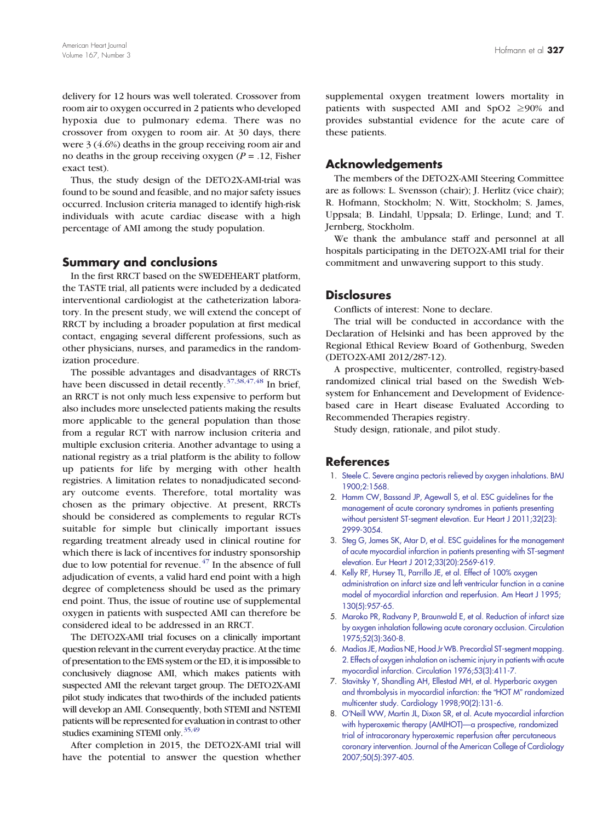<span id="page-5-0"></span>delivery for 12 hours was well tolerated. Crossover from room air to oxygen occurred in 2 patients who developed hypoxia due to pulmonary edema. There was no crossover from oxygen to room air. At 30 days, there were 3 (4.6%) deaths in the group receiving room air and no deaths in the group receiving oxygen ( $P = .12$ , Fisher exact test).

Thus, the study design of the DETO2X-AMI-trial was found to be sound and feasible, and no major safety issues occurred. Inclusion criteria managed to identify high-risk individuals with acute cardiac disease with a high percentage of AMI among the study population.

#### Summary and conclusions

In the first RRCT based on the SWEDEHEART platform, the TASTE trial, all patients were included by a dedicated interventional cardiologist at the catheterization laboratory. In the present study, we will extend the concept of RRCT by including a broader population at first medical contact, engaging several different professions, such as other physicians, nurses, and paramedics in the randomization procedure.

The possible advantages and disadvantages of RRCTs have been discussed in detail recently[.](#page-6-0)<sup>[37,38,47,48](#page-6-0)</sup> In brief, an RRCT is not only much less expensive to perform but also includes more unselected patients making the results more applicable to the general population than those from a regular RCT with narrow inclusion criteria and multiple exclusion criteria. Another advantage to using a national registry as a trial platform is the ability to follow up patients for life by merging with other health registries. A limitation relates to nonadjudicated secondary outcome events. Therefore, total mortality was chosen as the primary objective. At present, RRCTs should be considered as complements to regular RCTs suitable for simple but clinically important issues regarding treatment already used in clinical routine for which there is lack of incentives for industry sponsorship due to low potential for revenue[.](#page-6-0)<sup>[47](#page-6-0)</sup> In the absence of full adjudication of events, a valid hard end point with a high degree of completeness should be used as the primary end point. Thus, the issue of routine use of supplemental oxygen in patients with suspected AMI can therefore be considered ideal to be addressed in an RRCT.

The DETO2X-AMI trial focuses on a clinically important question relevant in the current everyday practice. At the time of presentation to the EMS system or the ED, it is impossible to conclusively diagnose AMI, which makes patients with suspected AMI the relevant target group. The DETO2X-AMI pilot study indicates that two-thirds of the included patients will develop an AMI. Consequently, both STEMI and NSTEMI patients will be represented for evaluation in contrast to other studies examining STEMI only[.](#page-6-0)<sup>[35,49](#page-6-0)</sup>

After completion in 2015, the DETO2X-AMI trial will have the potential to answer the question whether supplemental oxygen treatment lowers mortality in patients with suspected AMI and  $SpO2 \ge 90\%$  and provides substantial evidence for the acute care of these patients.

## Acknowledgements

The members of the DETO2X-AMI Steering Committee are as follows: L. Svensson (chair); J. Herlitz (vice chair); R. Hofmann, Stockholm; N. Witt, Stockholm; S. James, Uppsala; B. Lindahl, Uppsala; D. Erlinge, Lund; and T. Jernberg, Stockholm.

We thank the ambulance staff and personnel at all hospitals participating in the DETO2X-AMI trial for their commitment and unwavering support to this study.

# **Disclosures**

Conflicts of interest: None to declare.

The trial will be conducted in accordance with the Declaration of Helsinki and has been approved by the Regional Ethical Review Board of Gothenburg, Sweden (DETO2X-AMI 2012/287-12).

A prospective, multicenter, controlled, registry-based randomized clinical trial based on the Swedish Websystem for Enhancement and Development of Evidencebased care in Heart disease Evaluated According to Recommended Therapies registry.

Study design, rationale, and pilot study.

#### References

- 1. [Steele C. Severe angina pectoris relieved by oxygen inhalations. BMJ](http://refhub.elsevier.com//rf0005) [1900;2:1568.](http://refhub.elsevier.com//rf0005)
- 2. [Hamm CW, Bassand JP, Agewall S, et al. ESC guidelines for the](http://refhub.elsevier.com//rf0010) [management of acute coronary syndromes in patients presenting](http://refhub.elsevier.com//rf0010) [without persistent ST-segment elevation. Eur Heart J 2011;32\(23\):](http://refhub.elsevier.com//rf0010) [2999-3054.](http://refhub.elsevier.com//rf0010)
- 3. [Steg G, James SK, Atar D, et al. ESC guidelines for the management](http://refhub.elsevier.com//rf0015) [of acute myocardial infarction in patients presenting with ST-segment](http://refhub.elsevier.com//rf0015) [elevation. Eur Heart J 2012;33\(20\):2569-619.](http://refhub.elsevier.com//rf0015)
- 4. [Kelly RF, Hursey TL, Parrillo JE, et al. Effect of 100% oxygen](http://refhub.elsevier.com//rf0020) [administration on infarct size and left ventricular function in a canine](http://refhub.elsevier.com//rf0020) [model of myocardial infarction and reperfusion. Am Heart J 1995;](http://refhub.elsevier.com//rf0020) [130\(5\):957-65.](http://refhub.elsevier.com//rf0020)
- 5. [Maroko PR, Radvany P, Braunwald E, et al. Reduction of infarct size](http://refhub.elsevier.com//rf0025) [by oxygen inhalation following acute coronary occlusion. Circulation](http://refhub.elsevier.com//rf0025) [1975;52\(3\):360-8.](http://refhub.elsevier.com//rf0025)
- 6. [Madias JE, Madias NE, Hood Jr WB. Precordial ST-segment mapping.](http://refhub.elsevier.com//rf0030) [2. Effects of oxygen inhalation on ischemic injury in patients with acute](http://refhub.elsevier.com//rf0030) [myocardial infarction. Circulation 1976;53\(3\):411-7.](http://refhub.elsevier.com//rf0030)
- 7. [Stavitsky Y, Shandling AH, Ellestad MH, et al. Hyperbaric oxygen](http://refhub.elsevier.com//rf0035) [and thrombolysis in myocardial infarction: the](http://refhub.elsevier.com//rf0035) "HOT M" randomized [multicenter study. Cardiology 1998;90\(2\):131-6.](http://refhub.elsevier.com//rf0035)
- 8. O'[Neill WW, Martin JL, Dixon SR, et al. Acute myocardial infarction](http://refhub.elsevier.com//rf0040) [with hyperoxemic therapy \(AMIHOT\)](http://refhub.elsevier.com//rf0040)—a prospective, randomized [trial of intracoronary hyperoxemic reperfusion after percutaneous](http://refhub.elsevier.com//rf0040) [coronary intervention. Journal of the American College of Cardiology](http://refhub.elsevier.com//rf0040) [2007;50\(5\):397-405.](http://refhub.elsevier.com//rf0040)